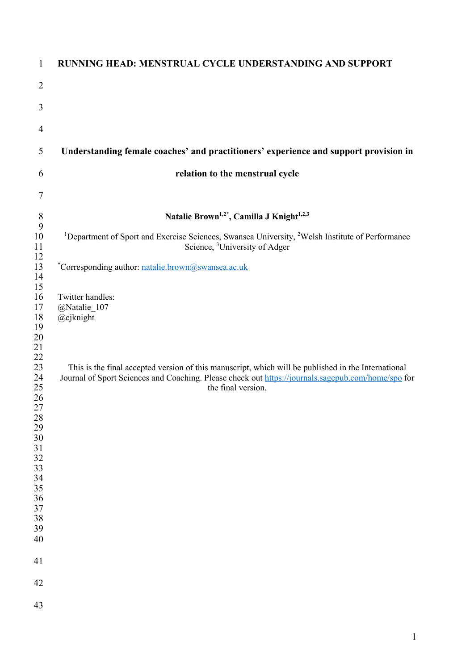| $\mathbf{1}$                                                                                                   | <b>RUNNING HEAD: MENSTRUAL CYCLE UNDERSTANDING AND SUPPORT</b>                                                                                                                                                                  |
|----------------------------------------------------------------------------------------------------------------|---------------------------------------------------------------------------------------------------------------------------------------------------------------------------------------------------------------------------------|
| $\overline{2}$                                                                                                 |                                                                                                                                                                                                                                 |
| 3                                                                                                              |                                                                                                                                                                                                                                 |
| $\overline{4}$                                                                                                 |                                                                                                                                                                                                                                 |
| 5                                                                                                              | Understanding female coaches' and practitioners' experience and support provision in                                                                                                                                            |
| 6                                                                                                              | relation to the menstrual cycle                                                                                                                                                                                                 |
| $\tau$                                                                                                         |                                                                                                                                                                                                                                 |
| $\,$ $\,$<br>9                                                                                                 | Natalie Brown <sup>1,2*</sup> , Camilla J Knight <sup>1,2,3</sup>                                                                                                                                                               |
| 10<br>11                                                                                                       | <sup>1</sup> Department of Sport and Exercise Sciences, Swansea University, <sup>2</sup> Welsh Institute of Performance<br>Science, <sup>3</sup> University of Adger                                                            |
| 12<br>13<br>14<br>15                                                                                           | *Corresponding author: natalie.brown@swansea.ac.uk                                                                                                                                                                              |
| 16<br>17<br>18<br>19<br>20<br>21                                                                               | Twitter handles:<br>@Natalie 107<br>@cjknight                                                                                                                                                                                   |
| 22<br>23<br>24<br>25<br>26<br>27<br>28<br>29<br>30<br>31<br>32<br>33<br>34<br>35<br>36<br>37<br>38<br>39<br>40 | This is the final accepted version of this manuscript, which will be published in the International<br>Journal of Sport Sciences and Coaching. Please check out https://journals.sagepub.com/home/spo for<br>the final version. |
| 41                                                                                                             |                                                                                                                                                                                                                                 |
| 42                                                                                                             |                                                                                                                                                                                                                                 |
| 43                                                                                                             |                                                                                                                                                                                                                                 |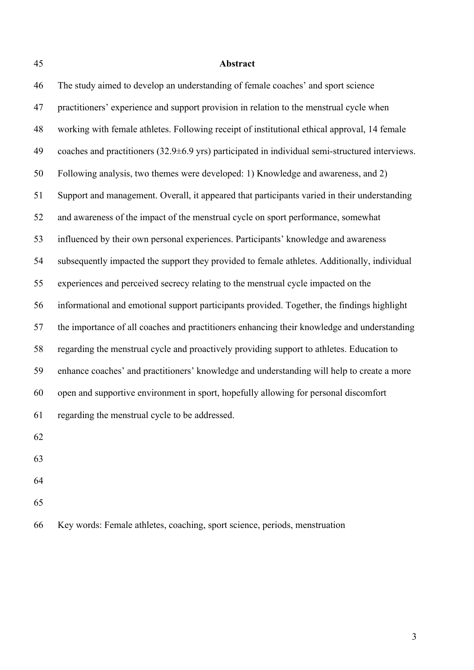# **Abstract**

| 46 | The study aimed to develop an understanding of female coaches' and sport science                            |
|----|-------------------------------------------------------------------------------------------------------------|
| 47 | practitioners' experience and support provision in relation to the menstrual cycle when                     |
| 48 | working with female athletes. Following receipt of institutional ethical approval, 14 female                |
| 49 | coaches and practitioners $(32.9\pm6.9 \text{ yrs})$ participated in individual semi-structured interviews. |
| 50 | Following analysis, two themes were developed: 1) Knowledge and awareness, and 2)                           |
| 51 | Support and management. Overall, it appeared that participants varied in their understanding                |
| 52 | and awareness of the impact of the menstrual cycle on sport performance, somewhat                           |
| 53 | influenced by their own personal experiences. Participants' knowledge and awareness                         |
| 54 | subsequently impacted the support they provided to female athletes. Additionally, individual                |
| 55 | experiences and perceived secrecy relating to the menstrual cycle impacted on the                           |
| 56 | informational and emotional support participants provided. Together, the findings highlight                 |
| 57 | the importance of all coaches and practitioners enhancing their knowledge and understanding                 |
| 58 | regarding the menstrual cycle and proactively providing support to athletes. Education to                   |
| 59 | enhance coaches' and practitioners' knowledge and understanding will help to create a more                  |
| 60 | open and supportive environment in sport, hopefully allowing for personal discomfort                        |
| 61 | regarding the menstrual cycle to be addressed.                                                              |
| 62 |                                                                                                             |
| 63 |                                                                                                             |
| 64 |                                                                                                             |
|    |                                                                                                             |

Key words: Female athletes, coaching, sport science, periods, menstruation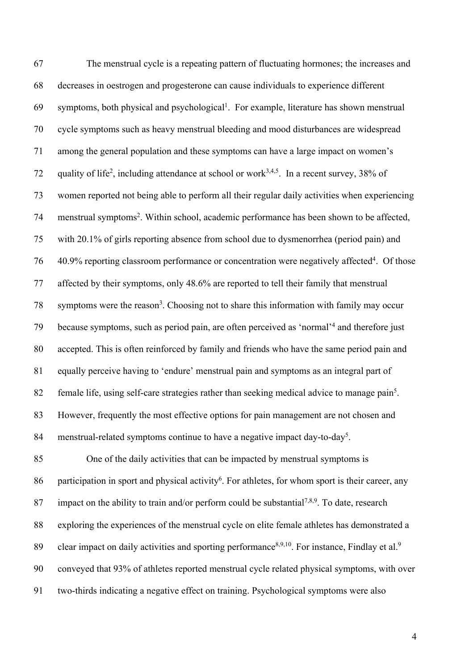The menstrual cycle is a repeating pattern of fluctuating hormones; the increases and decreases in oestrogen and progesterone can cause individuals to experience different 69 symptoms, both physical and psychological<sup>1</sup>. For example, literature has shown menstrual cycle symptoms such as heavy menstrual bleeding and mood disturbances are widespread among the general population and these symptoms can have a large impact on women's 72 quality of life<sup>2</sup>, including attendance at school or work<sup>3,4,5</sup>. In a recent survey, 38% of women reported not being able to perform all their regular daily activities when experiencing 74 menstrual symptoms<sup>2</sup>. Within school, academic performance has been shown to be affected, with 20.1% of girls reporting absence from school due to dysmenorrhea (period pain) and  $16-40.9\%$  reporting classroom performance or concentration were negatively affected<sup>4</sup>. Of those affected by their symptoms, only 48.6% are reported to tell their family that menstrual symptoms were the reason<sup>3</sup>. Choosing not to share this information with family may occur 79 because symptoms, such as period pain, are often perceived as 'normal'<sup>4</sup> and therefore just accepted. This is often reinforced by family and friends who have the same period pain and equally perceive having to 'endure' menstrual pain and symptoms as an integral part of 82 female life, using self-care strategies rather than seeking medical advice to manage pain<sup>5</sup>. However, frequently the most effective options for pain management are not chosen and 84 menstrual-related symptoms continue to have a negative impact day-to-day<sup>5</sup>. One of the daily activities that can be impacted by menstrual symptoms is

86 participation in sport and physical activity<sup>6</sup>. For athletes, for whom sport is their career, any 87 impact on the ability to train and/or perform could be substantial<sup>7,8,9</sup>. To date, research exploring the experiences of the menstrual cycle on elite female athletes has demonstrated a 89 clear impact on daily activities and sporting performance<sup>8,9,10</sup>. For instance, Findlay et al.<sup>9</sup> conveyed that 93% of athletes reported menstrual cycle related physical symptoms, with over two-thirds indicating a negative effect on training. Psychological symptoms were also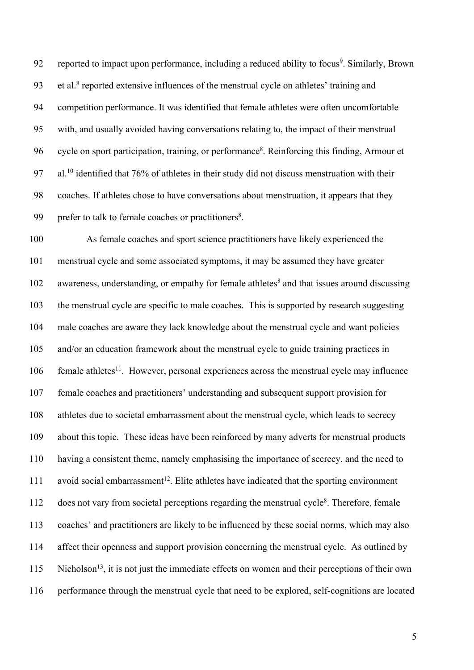92 reported to impact upon performance, including a reduced ability to focus<sup>9</sup>. Similarly, Brown 93 et al.<sup>8</sup> reported extensive influences of the menstrual cycle on athletes' training and competition performance. It was identified that female athletes were often uncomfortable with, and usually avoided having conversations relating to, the impact of their menstrual 96 cycle on sport participation, training, or performance<sup>8</sup>. Reinforcing this finding, Armour et 97 al.<sup>10</sup> identified that 76% of athletes in their study did not discuss menstruation with their coaches. If athletes chose to have conversations about menstruation, it appears that they 99 prefer to talk to female coaches or practitioners<sup>8</sup>.

 As female coaches and sport science practitioners have likely experienced the menstrual cycle and some associated symptoms, it may be assumed they have greater awareness, understanding, or empathy for female athletes<sup>8</sup> and that issues around discussing the menstrual cycle are specific to male coaches. This is supported by research suggesting male coaches are aware they lack knowledge about the menstrual cycle and want policies and/or an education framework about the menstrual cycle to guide training practices in 106 female athletes<sup>11</sup>. However, personal experiences across the menstrual cycle may influence female coaches and practitioners' understanding and subsequent support provision for athletes due to societal embarrassment about the menstrual cycle, which leads to secrecy about this topic. These ideas have been reinforced by many adverts for menstrual products having a consistent theme, namely emphasising the importance of secrecy, and the need to 111 avoid social embarrassment<sup>12</sup>. Elite athletes have indicated that the sporting environment does not vary from societal perceptions regarding the menstrual cycle<sup>8</sup>. Therefore, female coaches' and practitioners are likely to be influenced by these social norms, which may also affect their openness and support provision concerning the menstrual cycle. As outlined by Nicholson<sup>13</sup>, it is not just the immediate effects on women and their perceptions of their own performance through the menstrual cycle that need to be explored, self-cognitions are located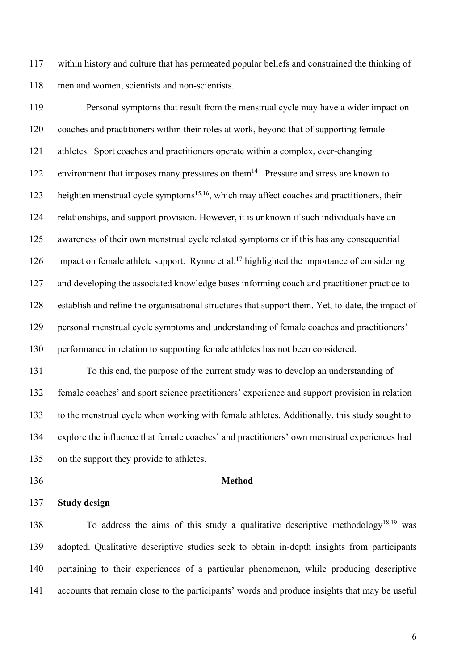within history and culture that has permeated popular beliefs and constrained the thinking of men and women, scientists and non-scientists.

 Personal symptoms that result from the menstrual cycle may have a wider impact on coaches and practitioners within their roles at work, beyond that of supporting female athletes. Sport coaches and practitioners operate within a complex, ever-changing 122 environment that imposes many pressures on them<sup>14</sup>. Pressure and stress are known to 123 heighten menstrual cycle symptoms<sup>15,16</sup>, which may affect coaches and practitioners, their relationships, and support provision. However, it is unknown if such individuals have an awareness of their own menstrual cycle related symptoms or if this has any consequential 126 impact on female athlete support. Rynne et al.<sup>17</sup> highlighted the importance of considering and developing the associated knowledge bases informing coach and practitioner practice to establish and refine the organisational structures that support them. Yet, to-date, the impact of personal menstrual cycle symptoms and understanding of female coaches and practitioners' performance in relation to supporting female athletes has not been considered.

 To this end, the purpose of the current study was to develop an understanding of female coaches' and sport science practitioners' experience and support provision in relation to the menstrual cycle when working with female athletes. Additionally, this study sought to explore the influence that female coaches' and practitioners' own menstrual experiences had on the support they provide to athletes.

## **Study design**

**Method**

138 To address the aims of this study a qualitative descriptive methodology<sup>18,19</sup> was adopted. Qualitative descriptive studies seek to obtain in-depth insights from participants pertaining to their experiences of a particular phenomenon, while producing descriptive accounts that remain close to the participants' words and produce insights that may be useful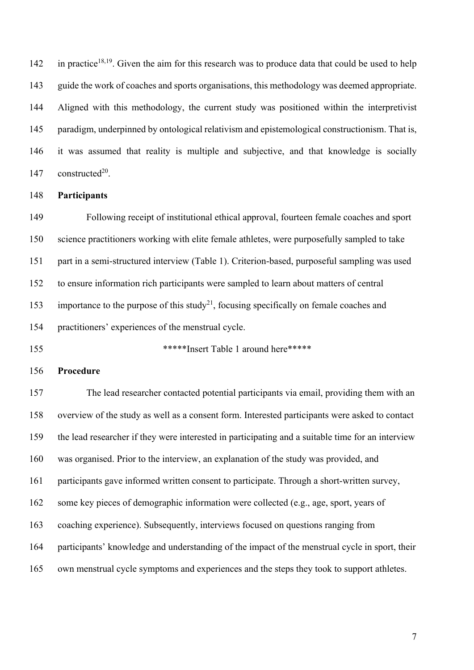142 in practice<sup>18,19</sup>. Given the aim for this research was to produce data that could be used to help guide the work of coaches and sports organisations, this methodology was deemed appropriate. Aligned with this methodology, the current study was positioned within the interpretivist paradigm, underpinned by ontological relativism and epistemological constructionism. That is, it was assumed that reality is multiple and subjective, and that knowledge is socially 147 constructed<sup>20</sup>.

#### **Participants**

 Following receipt of institutional ethical approval, fourteen female coaches and sport science practitioners working with elite female athletes, were purposefully sampled to take part in a semi-structured interview (Table 1). Criterion-based, purposeful sampling was used to ensure information rich participants were sampled to learn about matters of central 153 importance to the purpose of this study<sup>21</sup>, focusing specifically on female coaches and practitioners' experiences of the menstrual cycle.

155 \*\*\*\*\*\*Insert Table 1 around here\*\*\*\*\*

#### **Procedure**

 The lead researcher contacted potential participants via email, providing them with an overview of the study as well as a consent form. Interested participants were asked to contact the lead researcher if they were interested in participating and a suitable time for an interview was organised. Prior to the interview, an explanation of the study was provided, and participants gave informed written consent to participate. Through a short-written survey, some key pieces of demographic information were collected (e.g., age, sport, years of coaching experience). Subsequently, interviews focused on questions ranging from participants' knowledge and understanding of the impact of the menstrual cycle in sport, their own menstrual cycle symptoms and experiences and the steps they took to support athletes.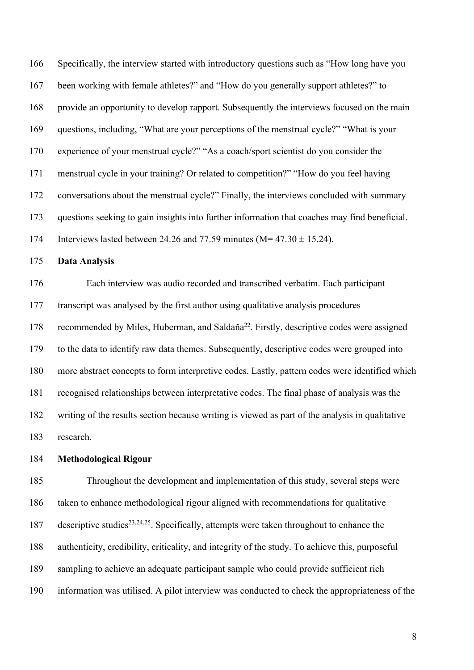Specifically, the interview started with introductory questions such as "How long have you been working with female athletes?" and "How do you generally support athletes?" to provide an opportunity to develop rapport. Subsequently the interviews focused on the main questions, including, "What are your perceptions of the menstrual cycle?" "What is your experience of your menstrual cycle?" "As a coach/sport scientist do you consider the menstrual cycle in your training? Or related to competition?" "How do you feel having conversations about the menstrual cycle?" Finally, the interviews concluded with summary questions seeking to gain insights into further information that coaches may find beneficial. 174 Interviews lasted between 24.26 and 77.59 minutes ( $M = 47.30 \pm 15.24$ ).

#### **Data Analysis**

 Each interview was audio recorded and transcribed verbatim. Each participant transcript was analysed by the first author using qualitative analysis procedures 178 recommended by Miles, Huberman, and Saldaña<sup>22</sup>. Firstly, descriptive codes were assigned to the data to identify raw data themes. Subsequently, descriptive codes were grouped into more abstract concepts to form interpretive codes. Lastly, pattern codes were identified which recognised relationships between interpretative codes. The final phase of analysis was the writing of the results section because writing is viewed as part of the analysis in qualitative research.

#### **Methodological Rigour**

 Throughout the development and implementation of this study, several steps were taken to enhance methodological rigour aligned with recommendations for qualitative 187 descriptive studies<sup>23,24,25</sup>. Specifically, attempts were taken throughout to enhance the authenticity, credibility, criticality, and integrity of the study. To achieve this, purposeful sampling to achieve an adequate participant sample who could provide sufficient rich information was utilised. A pilot interview was conducted to check the appropriateness of the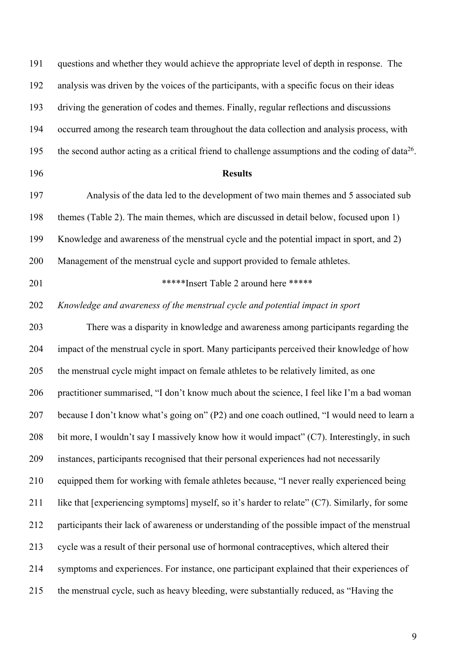| 191 | questions and whether they would achieve the appropriate level of depth in response. The                      |
|-----|---------------------------------------------------------------------------------------------------------------|
| 192 | analysis was driven by the voices of the participants, with a specific focus on their ideas                   |
| 193 | driving the generation of codes and themes. Finally, regular reflections and discussions                      |
| 194 | occurred among the research team throughout the data collection and analysis process, with                    |
| 195 | the second author acting as a critical friend to challenge assumptions and the coding of data <sup>26</sup> . |
| 196 | <b>Results</b>                                                                                                |
| 197 | Analysis of the data led to the development of two main themes and 5 associated sub                           |
| 198 | themes (Table 2). The main themes, which are discussed in detail below, focused upon 1)                       |
| 199 | Knowledge and awareness of the menstrual cycle and the potential impact in sport, and 2)                      |
| 200 | Management of the menstrual cycle and support provided to female athletes.                                    |
| 201 | *****Insert Table 2 around here ******                                                                        |
| 202 | Knowledge and awareness of the menstrual cycle and potential impact in sport                                  |
| 203 | There was a disparity in knowledge and awareness among participants regarding the                             |
| 204 | impact of the menstrual cycle in sport. Many participants perceived their knowledge of how                    |
| 205 | the menstrual cycle might impact on female athletes to be relatively limited, as one                          |
| 206 | practitioner summarised, "I don't know much about the science, I feel like I'm a bad woman                    |
| 207 | because I don't know what's going on" (P2) and one coach outlined, "I would need to learn a                   |
| 208 | bit more, I wouldn't say I massively know how it would impact" (C7). Interestingly, in such                   |
| 209 | instances, participants recognised that their personal experiences had not necessarily                        |
| 210 | equipped them for working with female athletes because, "I never really experienced being                     |
| 211 | like that [experiencing symptoms] myself, so it's harder to relate" (C7). Similarly, for some                 |
| 212 | participants their lack of awareness or understanding of the possible impact of the menstrual                 |
| 213 | cycle was a result of their personal use of hormonal contraceptives, which altered their                      |
| 214 | symptoms and experiences. For instance, one participant explained that their experiences of                   |
| 215 | the menstrual cycle, such as heavy bleeding, were substantially reduced, as "Having the                       |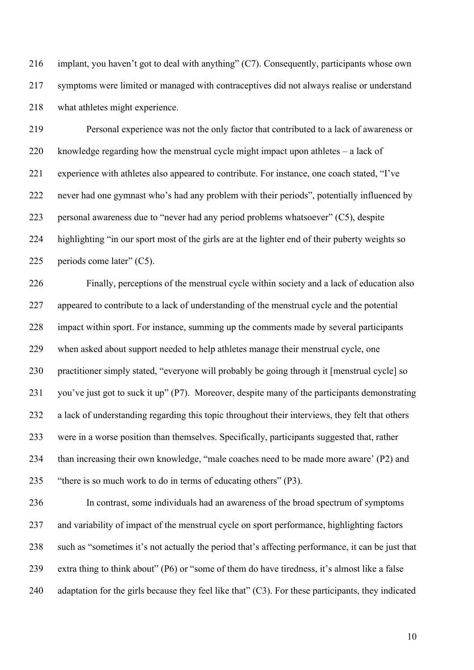implant, you haven't got to deal with anything" (C7). Consequently, participants whose own symptoms were limited or managed with contraceptives did not always realise or understand what athletes might experience.

 Personal experience was not the only factor that contributed to a lack of awareness or knowledge regarding how the menstrual cycle might impact upon athletes – a lack of experience with athletes also appeared to contribute. For instance, one coach stated, "I've never had one gymnast who's had any problem with their periods", potentially influenced by personal awareness due to "never had any period problems whatsoever" (C5), despite highlighting "in our sport most of the girls are at the lighter end of their puberty weights so 225 periods come later" (C5).

 Finally, perceptions of the menstrual cycle within society and a lack of education also appeared to contribute to a lack of understanding of the menstrual cycle and the potential impact within sport. For instance, summing up the comments made by several participants when asked about support needed to help athletes manage their menstrual cycle, one practitioner simply stated, "everyone will probably be going through it [menstrual cycle] so you've just got to suck it up" (P7). Moreover, despite many of the participants demonstrating a lack of understanding regarding this topic throughout their interviews, they felt that others were in a worse position than themselves. Specifically, participants suggested that, rather than increasing their own knowledge, "male coaches need to be made more aware' (P2) and "there is so much work to do in terms of educating others" (P3).

 In contrast, some individuals had an awareness of the broad spectrum of symptoms and variability of impact of the menstrual cycle on sport performance, highlighting factors such as "sometimes it's not actually the period that's affecting performance, it can be just that extra thing to think about" (P6) or "some of them do have tiredness, it's almost like a false adaptation for the girls because they feel like that" (C3). For these participants, they indicated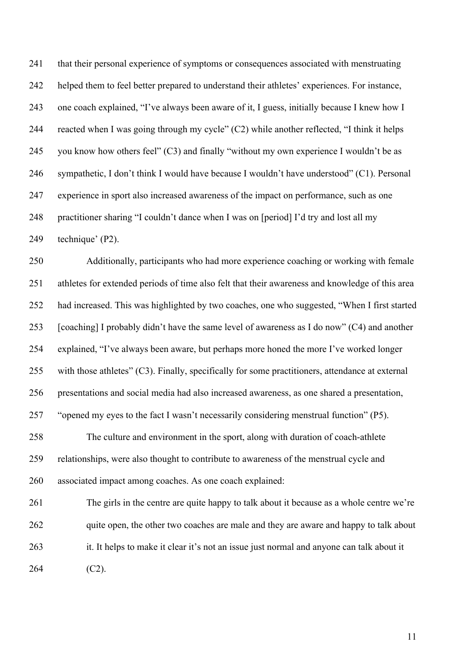that their personal experience of symptoms or consequences associated with menstruating helped them to feel better prepared to understand their athletes' experiences. For instance, one coach explained, "I've always been aware of it, I guess, initially because I knew how I reacted when I was going through my cycle" (C2) while another reflected, "I think it helps 245 you know how others feel"  $(C3)$  and finally "without my own experience I wouldn't be as sympathetic, I don't think I would have because I wouldn't have understood" (C1). Personal experience in sport also increased awareness of the impact on performance, such as one practitioner sharing "I couldn't dance when I was on [period] I'd try and lost all my technique' (P2).

 Additionally, participants who had more experience coaching or working with female athletes for extended periods of time also felt that their awareness and knowledge of this area had increased. This was highlighted by two coaches, one who suggested, "When I first started [coaching] I probably didn't have the same level of awareness as I do now" (C4) and another explained, "I've always been aware, but perhaps more honed the more I've worked longer with those athletes" (C3). Finally, specifically for some practitioners, attendance at external presentations and social media had also increased awareness, as one shared a presentation, "opened my eyes to the fact I wasn't necessarily considering menstrual function" (P5).

 The culture and environment in the sport, along with duration of coach-athlete relationships, were also thought to contribute to awareness of the menstrual cycle and associated impact among coaches. As one coach explained:

 The girls in the centre are quite happy to talk about it because as a whole centre we're 262 quite open, the other two coaches are male and they are aware and happy to talk about it. It helps to make it clear it's not an issue just normal and anyone can talk about it (C2).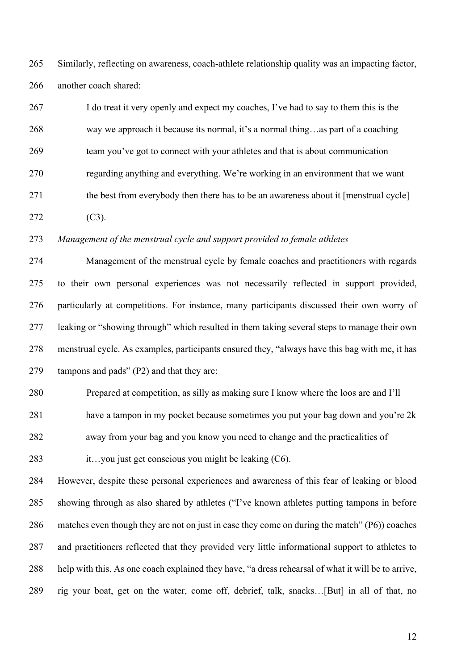Similarly, reflecting on awareness, coach-athlete relationship quality was an impacting factor, another coach shared:

 I do treat it very openly and expect my coaches, I've had to say to them this is the way we approach it because its normal, it's a normal thing…as part of a coaching team you've got to connect with your athletes and that is about communication regarding anything and everything. We're working in an environment that we want 271 the best from everybody then there has to be an awareness about it [menstrual cycle] (C3).

### *Management of the menstrual cycle and support provided to female athletes*

 Management of the menstrual cycle by female coaches and practitioners with regards to their own personal experiences was not necessarily reflected in support provided, particularly at competitions. For instance, many participants discussed their own worry of leaking or "showing through" which resulted in them taking several steps to manage their own menstrual cycle. As examples, participants ensured they, "always have this bag with me, it has tampons and pads" (P2) and that they are:

Prepared at competition, as silly as making sure I know where the loos are and I'll

have a tampon in my pocket because sometimes you put your bag down and you're 2k

away from your bag and you know you need to change and the practicalities of

283 it…you just get conscious you might be leaking (C6).

 However, despite these personal experiences and awareness of this fear of leaking or blood showing through as also shared by athletes ("I've known athletes putting tampons in before matches even though they are not on just in case they come on during the match" (P6)) coaches and practitioners reflected that they provided very little informational support to athletes to help with this. As one coach explained they have, "a dress rehearsal of what it will be to arrive, rig your boat, get on the water, come off, debrief, talk, snacks…[But] in all of that, no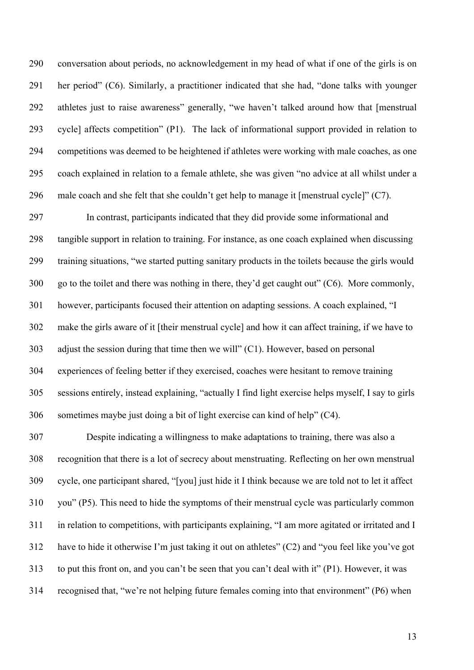conversation about periods, no acknowledgement in my head of what if one of the girls is on her period" (C6). Similarly, a practitioner indicated that she had, "done talks with younger athletes just to raise awareness" generally, "we haven't talked around how that [menstrual cycle] affects competition" (P1). The lack of informational support provided in relation to competitions was deemed to be heightened if athletes were working with male coaches, as one coach explained in relation to a female athlete, she was given "no advice at all whilst under a male coach and she felt that she couldn't get help to manage it [menstrual cycle]" (C7).

 In contrast, participants indicated that they did provide some informational and tangible support in relation to training. For instance, as one coach explained when discussing training situations, "we started putting sanitary products in the toilets because the girls would go to the toilet and there was nothing in there, they'd get caught out" (C6). More commonly, however, participants focused their attention on adapting sessions. A coach explained, "I make the girls aware of it [their menstrual cycle] and how it can affect training, if we have to adjust the session during that time then we will" (C1). However, based on personal experiences of feeling better if they exercised, coaches were hesitant to remove training sessions entirely, instead explaining, "actually I find light exercise helps myself, I say to girls sometimes maybe just doing a bit of light exercise can kind of help" (C4).

 Despite indicating a willingness to make adaptations to training, there was also a recognition that there is a lot of secrecy about menstruating. Reflecting on her own menstrual cycle, one participant shared, "[you] just hide it I think because we are told not to let it affect you" (P5). This need to hide the symptoms of their menstrual cycle was particularly common in relation to competitions, with participants explaining, "I am more agitated or irritated and I have to hide it otherwise I'm just taking it out on athletes" (C2) and "you feel like you've got to put this front on, and you can't be seen that you can't deal with it" (P1). However, it was recognised that, "we're not helping future females coming into that environment" (P6) when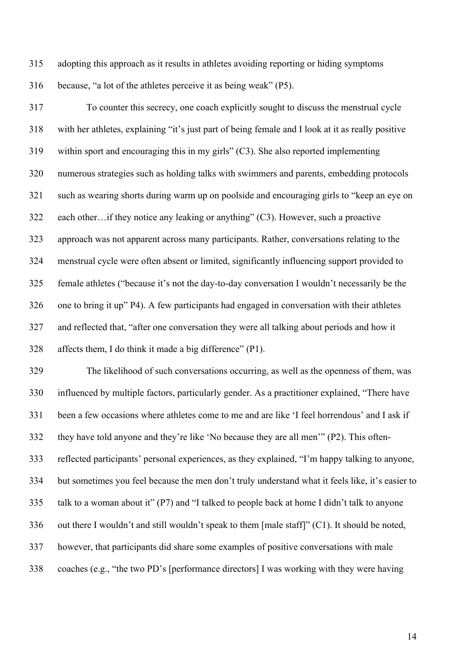adopting this approach as it results in athletes avoiding reporting or hiding symptoms because, "a lot of the athletes perceive it as being weak" (P5).

 To counter this secrecy, one coach explicitly sought to discuss the menstrual cycle with her athletes, explaining "it's just part of being female and I look at it as really positive within sport and encouraging this in my girls" (C3). She also reported implementing numerous strategies such as holding talks with swimmers and parents, embedding protocols such as wearing shorts during warm up on poolside and encouraging girls to "keep an eye on each other…if they notice any leaking or anything" (C3). However, such a proactive approach was not apparent across many participants. Rather, conversations relating to the menstrual cycle were often absent or limited, significantly influencing support provided to female athletes ("because it's not the day-to-day conversation I wouldn't necessarily be the one to bring it up" P4). A few participants had engaged in conversation with their athletes and reflected that, "after one conversation they were all talking about periods and how it affects them, I do think it made a big difference" (P1).

 The likelihood of such conversations occurring, as well as the openness of them, was influenced by multiple factors, particularly gender. As a practitioner explained, "There have been a few occasions where athletes come to me and are like 'I feel horrendous' and I ask if they have told anyone and they're like 'No because they are all men'" (P2). This often- reflected participants' personal experiences, as they explained, "I'm happy talking to anyone, but sometimes you feel because the men don't truly understand what it feels like, it's easier to talk to a woman about it" (P7) and "I talked to people back at home I didn't talk to anyone out there I wouldn't and still wouldn't speak to them [male staff]" (C1). It should be noted, however, that participants did share some examples of positive conversations with male coaches (e.g., "the two PD's [performance directors] I was working with they were having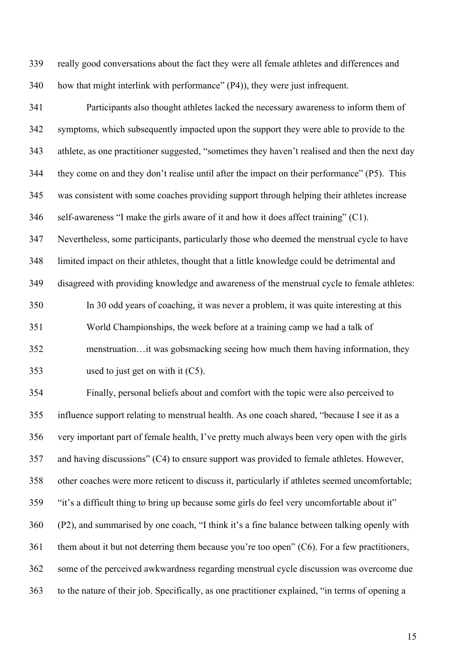really good conversations about the fact they were all female athletes and differences and how that might interlink with performance" (P4)), they were just infrequent.

 Participants also thought athletes lacked the necessary awareness to inform them of symptoms, which subsequently impacted upon the support they were able to provide to the athlete, as one practitioner suggested, "sometimes they haven't realised and then the next day they come on and they don't realise until after the impact on their performance" (P5). This was consistent with some coaches providing support through helping their athletes increase self-awareness "I make the girls aware of it and how it does affect training" (C1). Nevertheless, some participants, particularly those who deemed the menstrual cycle to have

limited impact on their athletes, thought that a little knowledge could be detrimental and

disagreed with providing knowledge and awareness of the menstrual cycle to female athletes:

 In 30 odd years of coaching, it was never a problem, it was quite interesting at this World Championships, the week before at a training camp we had a talk of menstruation…it was gobsmacking seeing how much them having information, they used to just get on with it (C5).

 Finally, personal beliefs about and comfort with the topic were also perceived to influence support relating to menstrual health. As one coach shared, "because I see it as a very important part of female health, I've pretty much always been very open with the girls and having discussions" (C4) to ensure support was provided to female athletes. However, other coaches were more reticent to discuss it, particularly if athletes seemed uncomfortable; "it's a difficult thing to bring up because some girls do feel very uncomfortable about it" (P2), and summarised by one coach, "I think it's a fine balance between talking openly with them about it but not deterring them because you're too open" (C6). For a few practitioners, some of the perceived awkwardness regarding menstrual cycle discussion was overcome due to the nature of their job. Specifically, as one practitioner explained, "in terms of opening a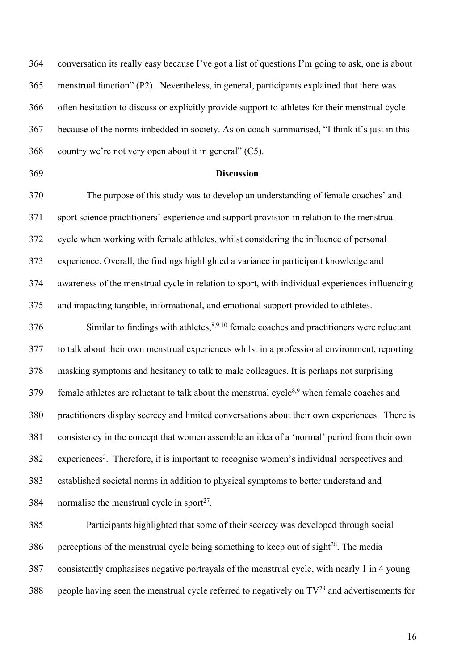conversation its really easy because I've got a list of questions I'm going to ask, one is about menstrual function" (P2). Nevertheless, in general, participants explained that there was often hesitation to discuss or explicitly provide support to athletes for their menstrual cycle because of the norms imbedded in society. As on coach summarised, "I think it's just in this country we're not very open about it in general" (C5).

### **Discussion**

 The purpose of this study was to develop an understanding of female coaches' and sport science practitioners' experience and support provision in relation to the menstrual cycle when working with female athletes, whilst considering the influence of personal experience. Overall, the findings highlighted a variance in participant knowledge and awareness of the menstrual cycle in relation to sport, with individual experiences influencing and impacting tangible, informational, and emotional support provided to athletes.

 Similar to findings with athletes,  $8,9,10$  female coaches and practitioners were reluctant to talk about their own menstrual experiences whilst in a professional environment, reporting masking symptoms and hesitancy to talk to male colleagues. It is perhaps not surprising  $f(379)$  female athletes are reluctant to talk about the menstrual cycle<sup>8,9</sup> when female coaches and practitioners display secrecy and limited conversations about their own experiences. There is consistency in the concept that women assemble an idea of a 'normal' period from their own 382 experiences<sup>5</sup>. Therefore, it is important to recognise women's individual perspectives and established societal norms in addition to physical symptoms to better understand and 384 normalise the menstrual cycle in sport<sup>27</sup>.

 Participants highlighted that some of their secrecy was developed through social 386 perceptions of the menstrual cycle being something to keep out of sight $^{28}$ . The media consistently emphasises negative portrayals of the menstrual cycle, with nearly 1 in 4 young 388 people having seen the menstrual cycle referred to negatively on  $TV^{29}$  and advertisements for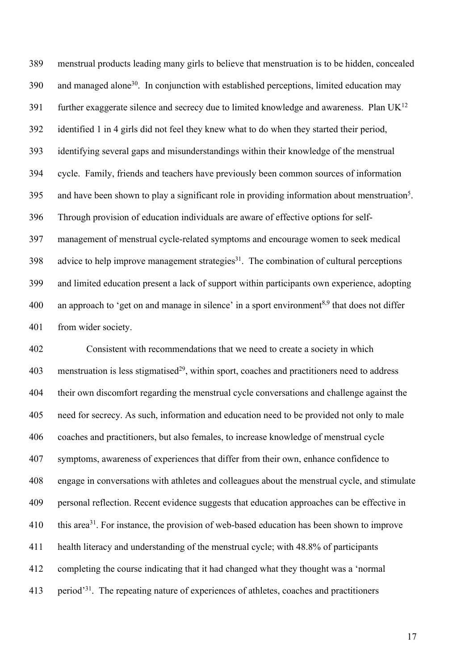menstrual products leading many girls to believe that menstruation is to be hidden, concealed and managed alone<sup>30</sup>. In conjunction with established perceptions, limited education may 391 further exaggerate silence and secrecy due to limited knowledge and awareness. Plan  $UK^{12}$  identified 1 in 4 girls did not feel they knew what to do when they started their period, identifying several gaps and misunderstandings within their knowledge of the menstrual cycle. Family, friends and teachers have previously been common sources of information 395 and have been shown to play a significant role in providing information about menstruation<sup>5</sup>. Through provision of education individuals are aware of effective options for self- management of menstrual cycle-related symptoms and encourage women to seek medical advice to help improve management strategies<sup>31</sup>. The combination of cultural perceptions and limited education present a lack of support within participants own experience, adopting 400 an approach to 'get on and manage in silence' in a sport environment<sup>8,9</sup> that does not differ from wider society.

 Consistent with recommendations that we need to create a society in which menstruation is less stigmatised<sup>29</sup>, within sport, coaches and practitioners need to address their own discomfort regarding the menstrual cycle conversations and challenge against the need for secrecy. As such, information and education need to be provided not only to male coaches and practitioners, but also females, to increase knowledge of menstrual cycle symptoms, awareness of experiences that differ from their own, enhance confidence to engage in conversations with athletes and colleagues about the menstrual cycle, and stimulate personal reflection. Recent evidence suggests that education approaches can be effective in  $\cdot$  this area<sup>31</sup>. For instance, the provision of web-based education has been shown to improve health literacy and understanding of the menstrual cycle; with 48.8% of participants completing the course indicating that it had changed what they thought was a 'normal 413 period<sup>31</sup>. The repeating nature of experiences of athletes, coaches and practitioners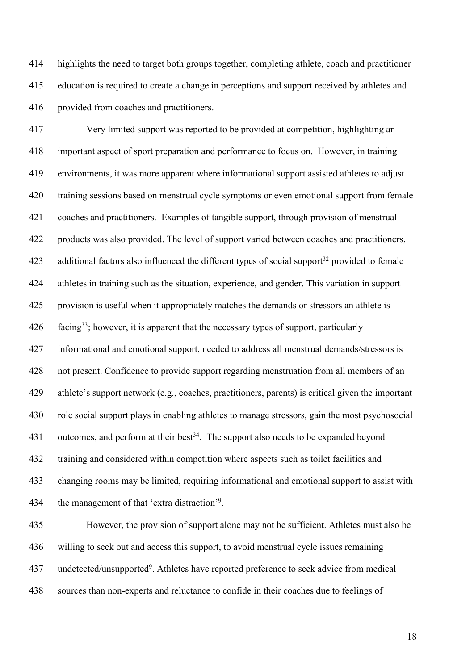highlights the need to target both groups together, completing athlete, coach and practitioner education is required to create a change in perceptions and support received by athletes and provided from coaches and practitioners.

 Very limited support was reported to be provided at competition, highlighting an important aspect of sport preparation and performance to focus on. However, in training environments, it was more apparent where informational support assisted athletes to adjust training sessions based on menstrual cycle symptoms or even emotional support from female coaches and practitioners. Examples of tangible support, through provision of menstrual products was also provided. The level of support varied between coaches and practitioners, 423 additional factors also influenced the different types of social support<sup>32</sup> provided to female athletes in training such as the situation, experience, and gender. This variation in support provision is useful when it appropriately matches the demands or stressors an athlete is 426 facing<sup>33</sup>; however, it is apparent that the necessary types of support, particularly informational and emotional support, needed to address all menstrual demands/stressors is not present. Confidence to provide support regarding menstruation from all members of an athlete's support network (e.g., coaches, practitioners, parents) is critical given the important role social support plays in enabling athletes to manage stressors, gain the most psychosocial 431 outcomes, and perform at their best<sup>34</sup>. The support also needs to be expanded beyond training and considered within competition where aspects such as toilet facilities and changing rooms may be limited, requiring informational and emotional support to assist with 434 the management of that 'extra distraction'<sup>9</sup>.

 However, the provision of support alone may not be sufficient. Athletes must also be willing to seek out and access this support, to avoid menstrual cycle issues remaining undetected/unsupported<sup>9</sup>. Athletes have reported preference to seek advice from medical sources than non-experts and reluctance to confide in their coaches due to feelings of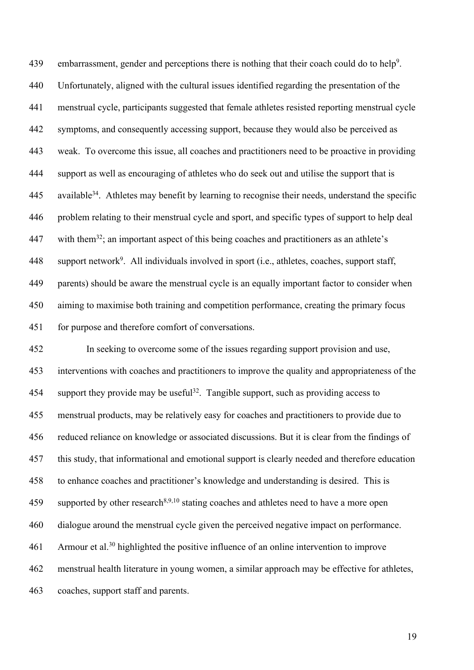439 embarrassment, gender and perceptions there is nothing that their coach could do to help<sup>9</sup>. Unfortunately, aligned with the cultural issues identified regarding the presentation of the menstrual cycle, participants suggested that female athletes resisted reporting menstrual cycle symptoms, and consequently accessing support, because they would also be perceived as weak. To overcome this issue, all coaches and practitioners need to be proactive in providing support as well as encouraging of athletes who do seek out and utilise the support that is available<sup>34</sup>. Athletes may benefit by learning to recognise their needs, understand the specific problem relating to their menstrual cycle and sport, and specific types of support to help deal 447 with them<sup>32</sup>; an important aspect of this being coaches and practitioners as an athlete's 448 support network<sup>9</sup>. All individuals involved in sport (i.e., athletes, coaches, support staff, parents) should be aware the menstrual cycle is an equally important factor to consider when aiming to maximise both training and competition performance, creating the primary focus for purpose and therefore comfort of conversations.

 In seeking to overcome some of the issues regarding support provision and use, interventions with coaches and practitioners to improve the quality and appropriateness of the 454 support they provide may be useful<sup>32</sup>. Tangible support, such as providing access to menstrual products, may be relatively easy for coaches and practitioners to provide due to reduced reliance on knowledge or associated discussions. But it is clear from the findings of this study, that informational and emotional support is clearly needed and therefore education to enhance coaches and practitioner's knowledge and understanding is desired. This is 459 supported by other research<sup>8,9,10</sup> stating coaches and athletes need to have a more open dialogue around the menstrual cycle given the perceived negative impact on performance. Armour et al.<sup>30</sup> highlighted the positive influence of an online intervention to improve menstrual health literature in young women, a similar approach may be effective for athletes, coaches, support staff and parents.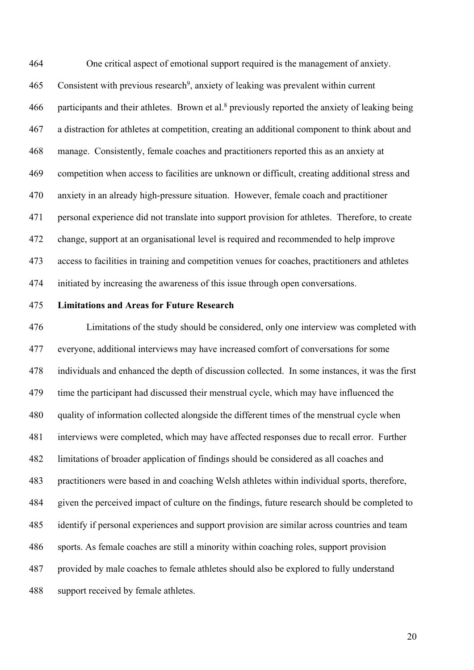One critical aspect of emotional support required is the management of anxiety. 465 Consistent with previous research<sup>9</sup>, anxiety of leaking was prevalent within current 466 participants and their athletes. Brown et al.<sup>8</sup> previously reported the anxiety of leaking being a distraction for athletes at competition, creating an additional component to think about and manage. Consistently, female coaches and practitioners reported this as an anxiety at competition when access to facilities are unknown or difficult, creating additional stress and anxiety in an already high-pressure situation. However, female coach and practitioner personal experience did not translate into support provision for athletes. Therefore, to create change, support at an organisational level is required and recommended to help improve access to facilities in training and competition venues for coaches, practitioners and athletes initiated by increasing the awareness of this issue through open conversations.

#### **Limitations and Areas for Future Research**

 Limitations of the study should be considered, only one interview was completed with everyone, additional interviews may have increased comfort of conversations for some individuals and enhanced the depth of discussion collected. In some instances, it was the first time the participant had discussed their menstrual cycle, which may have influenced the quality of information collected alongside the different times of the menstrual cycle when interviews were completed, which may have affected responses due to recall error. Further limitations of broader application of findings should be considered as all coaches and practitioners were based in and coaching Welsh athletes within individual sports, therefore, given the perceived impact of culture on the findings, future research should be completed to identify if personal experiences and support provision are similar across countries and team sports. As female coaches are still a minority within coaching roles, support provision provided by male coaches to female athletes should also be explored to fully understand support received by female athletes.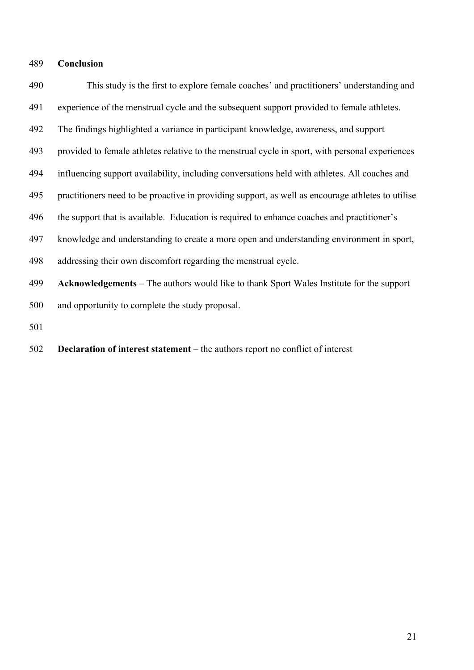#### **Conclusion**

 This study is the first to explore female coaches' and practitioners' understanding and experience of the menstrual cycle and the subsequent support provided to female athletes. The findings highlighted a variance in participant knowledge, awareness, and support provided to female athletes relative to the menstrual cycle in sport, with personal experiences influencing support availability, including conversations held with athletes. All coaches and practitioners need to be proactive in providing support, as well as encourage athletes to utilise the support that is available. Education is required to enhance coaches and practitioner's knowledge and understanding to create a more open and understanding environment in sport, addressing their own discomfort regarding the menstrual cycle. **Acknowledgements** – The authors would like to thank Sport Wales Institute for the support and opportunity to complete the study proposal. **Declaration of interest statement** – the authors report no conflict of interest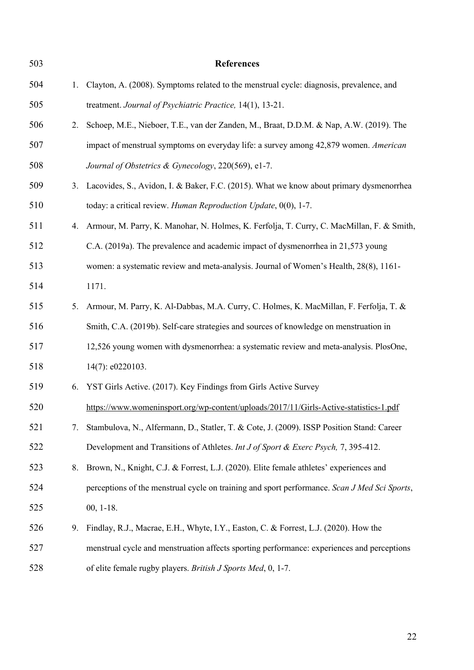| 503 |    | <b>References</b>                                                                            |
|-----|----|----------------------------------------------------------------------------------------------|
| 504 | 1. | Clayton, A. (2008). Symptoms related to the menstrual cycle: diagnosis, prevalence, and      |
| 505 |    | treatment. Journal of Psychiatric Practice, 14(1), 13-21.                                    |
| 506 | 2. | Schoep, M.E., Nieboer, T.E., van der Zanden, M., Braat, D.D.M. & Nap, A.W. (2019). The       |
| 507 |    | impact of menstrual symptoms on everyday life: a survey among 42,879 women. American         |
| 508 |    | Journal of Obstetrics & Gynecology, 220(569), e1-7.                                          |
| 509 | 3. | Lacovides, S., Avidon, I. & Baker, F.C. (2015). What we know about primary dysmenorrhea      |
| 510 |    | today: a critical review. Human Reproduction Update, 0(0), 1-7.                              |
| 511 | 4. | Armour, M. Parry, K. Manohar, N. Holmes, K. Ferfolja, T. Curry, C. MacMillan, F. & Smith,    |
| 512 |    | C.A. (2019a). The prevalence and academic impact of dysmenorrhea in 21,573 young             |
| 513 |    | women: a systematic review and meta-analysis. Journal of Women's Health, 28(8), 1161-        |
| 514 |    | 1171.                                                                                        |
| 515 | 5. | Armour, M. Parry, K. Al-Dabbas, M.A. Curry, C. Holmes, K. MacMillan, F. Ferfolja, T. &       |
| 516 |    | Smith, C.A. (2019b). Self-care strategies and sources of knowledge on menstruation in        |
| 517 |    | 12,526 young women with dysmenorrhea: a systematic review and meta-analysis. PlosOne,        |
| 518 |    | 14(7): e0220103.                                                                             |
| 519 | 6. | YST Girls Active. (2017). Key Findings from Girls Active Survey                              |
| 520 |    | https://www.womeninsport.org/wp-content/uploads/2017/11/Girls-Active-statistics-1.pdf        |
| 521 | 7. | Stambulova, N., Alfermann, D., Statler, T. & Cote, J. (2009). ISSP Position Stand: Career    |
| 522 |    | Development and Transitions of Athletes. Int J of Sport & Exerc Psych, 7, 395-412.           |
| 523 | 8. | Brown, N., Knight, C.J. & Forrest, L.J. (2020). Elite female athletes' experiences and       |
| 524 |    | perceptions of the menstrual cycle on training and sport performance. Scan J Med Sci Sports, |
| 525 |    | $00, 1-18.$                                                                                  |
| 526 | 9. | Findlay, R.J., Macrae, E.H., Whyte, I.Y., Easton, C. & Forrest, L.J. (2020). How the         |
| 527 |    | menstrual cycle and menstruation affects sporting performance: experiences and perceptions   |
| 528 |    | of elite female rugby players. British J Sports Med, 0, 1-7.                                 |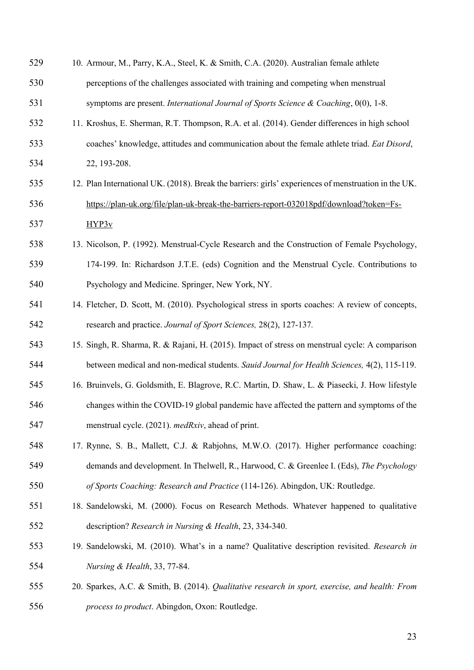| 529 | 10. Armour, M., Parry, K.A., Steel, K. & Smith, C.A. (2020). Australian female athlete               |
|-----|------------------------------------------------------------------------------------------------------|
| 530 | perceptions of the challenges associated with training and competing when menstrual                  |
| 531 | symptoms are present. International Journal of Sports Science & Coaching, $0(0)$ , 1-8.              |
| 532 | 11. Kroshus, E. Sherman, R.T. Thompson, R.A. et al. (2014). Gender differences in high school        |
| 533 | coaches' knowledge, attitudes and communication about the female athlete triad. Eat Disord,          |
| 534 | 22, 193-208.                                                                                         |
| 535 | 12. Plan International UK. (2018). Break the barriers: girls' experiences of menstruation in the UK. |
| 536 | https://plan-uk.org/file/plan-uk-break-the-barriers-report-032018pdf/download?token=Fs-              |
| 537 | HYP3v                                                                                                |
| 538 | 13. Nicolson, P. (1992). Menstrual-Cycle Research and the Construction of Female Psychology,         |
| 539 | 174-199. In: Richardson J.T.E. (eds) Cognition and the Menstrual Cycle. Contributions to             |
| 540 | Psychology and Medicine. Springer, New York, NY.                                                     |
| 541 | 14. Fletcher, D. Scott, M. (2010). Psychological stress in sports coaches: A review of concepts,     |
| 542 | research and practice. Journal of Sport Sciences, 28(2), 127-137.                                    |
| 543 | 15. Singh, R. Sharma, R. & Rajani, H. (2015). Impact of stress on menstrual cycle: A comparison      |
| 544 | between medical and non-medical students. Sauid Journal for Health Sciences, 4(2), 115-119.          |
| 545 | 16. Bruinvels, G. Goldsmith, E. Blagrove, R.C. Martin, D. Shaw, L. & Piasecki, J. How lifestyle      |
| 546 | changes within the COVID-19 global pandemic have affected the pattern and symptoms of the            |
| 547 | menstrual cycle. (2021). medRxiv, ahead of print.                                                    |
| 548 | 17. Rynne, S. B., Mallett, C.J. & Rabjohns, M.W.O. (2017). Higher performance coaching:              |
| 549 | demands and development. In Thelwell, R., Harwood, C. & Greenlee I. (Eds), The Psychology            |
| 550 | of Sports Coaching: Research and Practice (114-126). Abingdon, UK: Routledge.                        |
| 551 | 18. Sandelowski, M. (2000). Focus on Research Methods. Whatever happened to qualitative              |
| 552 | description? Research in Nursing & Health, 23, 334-340.                                              |
| 553 | 19. Sandelowski, M. (2010). What's in a name? Qualitative description revisited. Research in         |
| 554 | Nursing & Health, 33, 77-84.                                                                         |
| 555 | 20. Sparkes, A.C. & Smith, B. (2014). Qualitative research in sport, exercise, and health: From      |
| 556 | process to product. Abingdon, Oxon: Routledge.                                                       |
|     |                                                                                                      |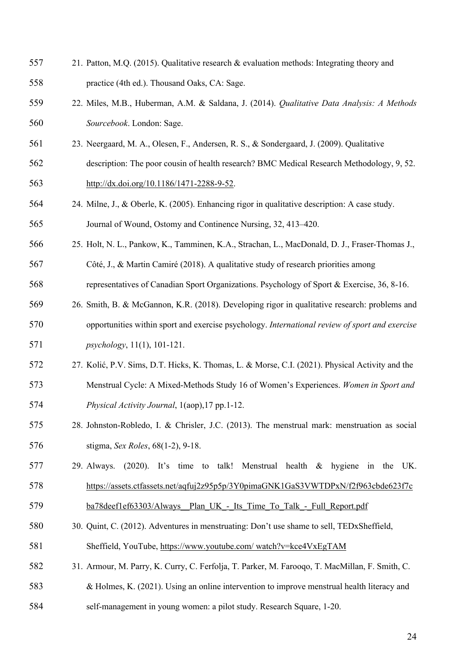- 21. Patton, M.Q. (2015). Qualitative research & evaluation methods: Integrating theory and practice (4th ed.). Thousand Oaks, CA: Sage.
- 22. Miles, M.B., Huberman, A.M. & Saldana, J. (2014). *Qualitative Data Analysis: A Methods Sourcebook*. London: Sage.
- 23. Neergaard, M. A., Olesen, F., Andersen, R. S., & Sondergaard, J. (2009). Qualitative
- description: The poor cousin of health research? BMC Medical Research Methodology, 9, 52. http://dx.doi.org/10.1186/1471-2288-9-52.
- 24. Milne, J., & Oberle, K. (2005). Enhancing rigor in qualitative description: A case study. Journal of Wound, Ostomy and Continence Nursing, 32, 413–420.
- 25. Holt, N. L., Pankow, K., Tamminen, K.A., Strachan, L., MacDonald, D. J., Fraser-Thomas J.,
- Côté, J., & Martin Camiré (2018). A qualitative study of research priorities among
- representatives of Canadian Sport Organizations. Psychology of Sport & Exercise, 36, 8-16.
- 26. Smith, B. & McGannon, K.R. (2018). Developing rigor in qualitative research: problems and opportunities within sport and exercise psychology. *International review of sport and exercise psychology*, 11(1), 101-121.
- 27. Kolić, P.V. Sims, D.T. Hicks, K. Thomas, L. & Morse, C.I. (2021). Physical Activity and the Menstrual Cycle: A Mixed-Methods Study 16 of Women's Experiences. *Women in Sport and Physical Activity Journal*, 1(aop),17 pp.1-12.
- 28. Johnston-Robledo, I. & Chrisler, J.C. (2013). The menstrual mark: menstruation as social stigma, *Sex Roles*, 68(1-2), 9-18.
- 29. Always. (2020). It's time to talk! Menstrual health & hygiene in the UK. https://assets.ctfassets.net/aqfuj2z95p5p/3Y0pimaGNK1GaS3VWTDPxN/f2f963cbde623f7c
- 579 ba78deef1ef63303/Always Plan UK Its Time To Talk Full Report.pdf
- 30. Quint, C. (2012). Adventures in menstruating: Don't use shame to sell, TEDxSheffield, Sheffield, YouTube, https://www.youtube.com/ watch?v=kce4VxEgTAM
- 31. Armour, M. Parry, K. Curry, C. Ferfolja, T. Parker, M. Farooqo, T. MacMillan, F. Smith, C.
- & Holmes, K. (2021). Using an online intervention to improve menstrual health literacy and
- self-management in young women: a pilot study. Research Square, 1-20.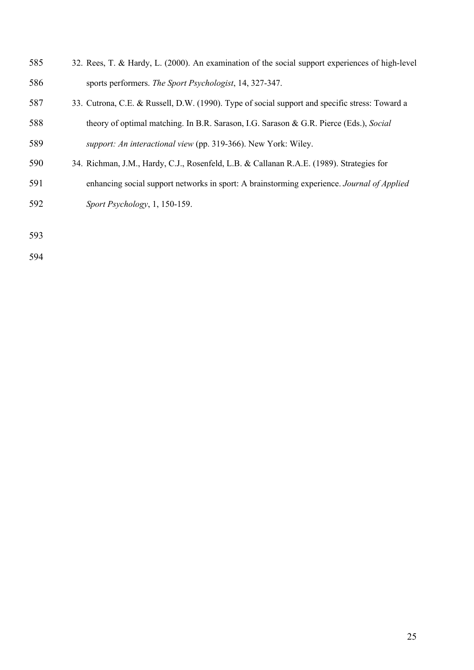- 32. Rees, T. & Hardy, L. (2000). An examination of the social support experiences of high-level sports performers. *The Sport Psychologist*, 14, 327-347.
- 33. Cutrona, C.E. & Russell, D.W. (1990). Type of social support and specific stress: Toward a theory of optimal matching. In B.R. Sarason, I.G. Sarason & G.R. Pierce (Eds.), *Social support: An interactional view* (pp. 319-366). New York: Wiley.
- 34. Richman, J.M., Hardy, C.J., Rosenfeld, L.B. & Callanan R.A.E. (1989). Strategies for
- enhancing social support networks in sport: A brainstorming experience. *Journal of Applied Sport Psychology*, 1, 150-159.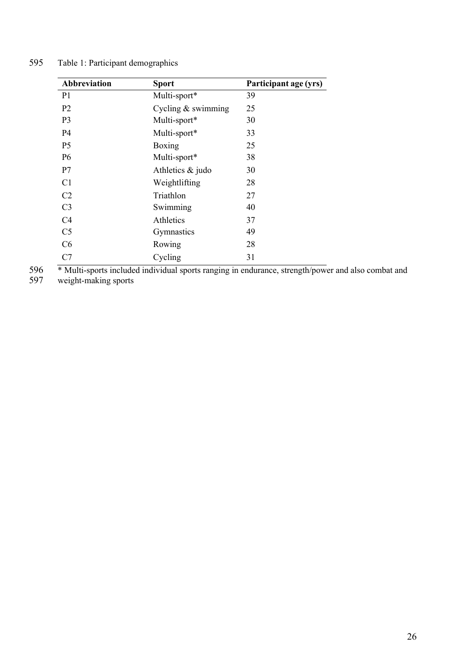| Abbreviation   | <b>Sport</b>         | Participant age (yrs) |
|----------------|----------------------|-----------------------|
| P <sub>1</sub> | Multi-sport*         | 39                    |
| P <sub>2</sub> | Cycling $&$ swimming | 25                    |
| P <sub>3</sub> | Multi-sport*         | 30                    |
| P <sub>4</sub> | Multi-sport*         | 33                    |
| P <sub>5</sub> | Boxing               | 25                    |
| <b>P6</b>      | Multi-sport*         | 38                    |
| P7             | Athletics & judo     | 30                    |
| C1             | Weightlifting        | 28                    |
| C <sub>2</sub> | Triathlon            | 27                    |
| C <sub>3</sub> | Swimming             | 40                    |
| C4             | Athletics            | 37                    |
| C <sub>5</sub> | Gymnastics           | 49                    |
| C <sub>6</sub> | Rowing               | 28                    |
| C7             | Cycling              | 31                    |

# 595 Table 1: Participant demographics

596 \* Multi-sports included individual sports ranging in endurance, strength/power and also combat and 597 weight-making sports